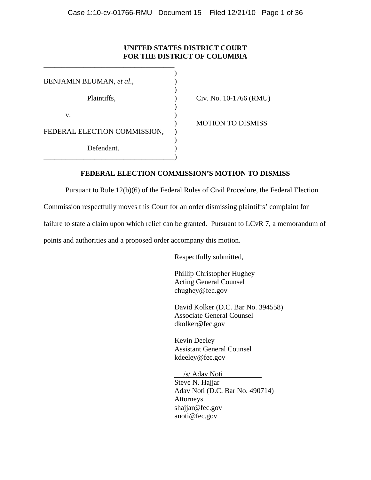# **UNITED STATES DISTRICT COURT FOR THE DISTRICT OF COLUMBIA**

| BENJAMIN BLUMAN, et al.,     |  |
|------------------------------|--|
|                              |  |
| Plaintiffs,                  |  |
|                              |  |
| v.                           |  |
|                              |  |
| FEDERAL ELECTION COMMISSION, |  |
|                              |  |
| Defendant.                   |  |
|                              |  |

\_\_\_\_\_\_\_\_\_\_\_\_\_\_\_\_\_\_\_\_\_\_\_\_\_\_\_\_\_\_\_\_\_\_\_\_

Civ. No. 10-1766 (RMU)

) MOTION TO DISMISS

# **FEDERAL ELECTION COMMISSION'S MOTION TO DISMISS**

Pursuant to Rule 12(b)(6) of the Federal Rules of Civil Procedure, the Federal Election

Commission respectfully moves this Court for an order dismissing plaintiffs' complaint for

failure to state a claim upon which relief can be granted. Pursuant to LCvR 7, a memorandum of

points and authorities and a proposed order accompany this motion.

Respectfully submitted,

Phillip Christopher Hughey Acting General Counsel chughey@fec.gov

David Kolker (D.C. Bar No. 394558) Associate General Counsel dkolker@fec.gov

Kevin Deeley Assistant General Counsel kdeeley@fec.gov

 /s/ Adav Noti Steve N. Hajjar

Adav Noti (D.C. Bar No. 490714) Attorneys shajjar@fec.gov anoti@fec.gov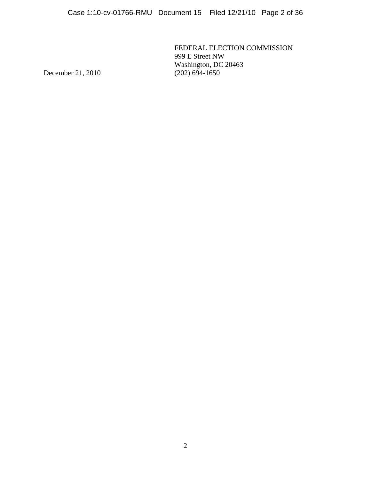FEDERAL ELECTION COMMISSION 999 E Street NW Washington, DC 20463<br>(202) 694-1650

December 21, 2010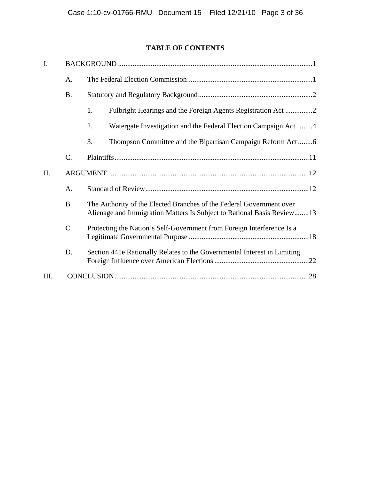# **TABLE OF CONTENTS**

| I.   |             |                                                                                                                                                |
|------|-------------|------------------------------------------------------------------------------------------------------------------------------------------------|
|      | A.          |                                                                                                                                                |
|      | <b>B.</b>   |                                                                                                                                                |
|      |             | 1.                                                                                                                                             |
|      |             | 2.<br>Watergate Investigation and the Federal Election Campaign Act4                                                                           |
|      |             | 3.<br>Thompson Committee and the Bipartisan Campaign Reform Act6                                                                               |
|      | $C_{\cdot}$ |                                                                                                                                                |
| II.  |             |                                                                                                                                                |
|      | A.          |                                                                                                                                                |
|      | <b>B.</b>   | The Authority of the Elected Branches of the Federal Government over<br>Alienage and Immigration Matters Is Subject to Rational Basis Review13 |
|      | C.          | Protecting the Nation's Self-Government from Foreign Interference Is a                                                                         |
|      | D.          | Section 441e Rationally Relates to the Governmental Interest in Limiting                                                                       |
| III. |             |                                                                                                                                                |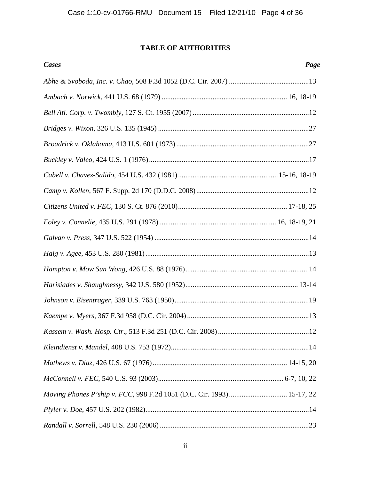# **TABLE OF AUTHORITIES**

| <b>Cases</b>                                                          | Page |
|-----------------------------------------------------------------------|------|
|                                                                       |      |
|                                                                       |      |
|                                                                       |      |
|                                                                       |      |
|                                                                       |      |
|                                                                       |      |
|                                                                       |      |
|                                                                       |      |
|                                                                       |      |
|                                                                       |      |
|                                                                       |      |
|                                                                       |      |
|                                                                       |      |
|                                                                       |      |
|                                                                       |      |
|                                                                       |      |
|                                                                       |      |
|                                                                       |      |
|                                                                       |      |
|                                                                       |      |
| Moving Phones P'ship v. FCC, 998 F.2d 1051 (D.C. Cir. 1993) 15-17, 22 |      |
|                                                                       |      |
|                                                                       |      |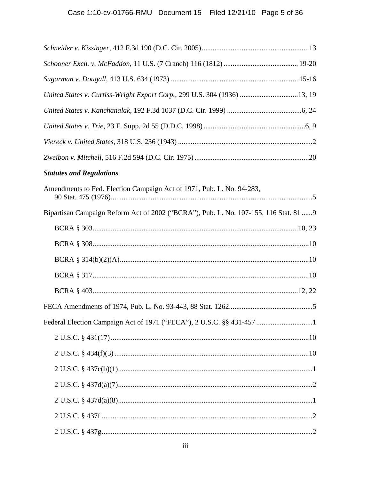| United States v. Curtiss-Wright Export Corp., 299 U.S. 304 (1936) 13, 19              |  |
|---------------------------------------------------------------------------------------|--|
|                                                                                       |  |
|                                                                                       |  |
|                                                                                       |  |
|                                                                                       |  |
| <b>Statutes and Regulations</b>                                                       |  |
| Amendments to Fed. Election Campaign Act of 1971, Pub. L. No. 94-283,                 |  |
| Bipartisan Campaign Reform Act of 2002 ("BCRA"), Pub. L. No. 107-155, 116 Stat. 81  9 |  |
|                                                                                       |  |
|                                                                                       |  |
|                                                                                       |  |
|                                                                                       |  |
|                                                                                       |  |
|                                                                                       |  |
| Federal Election Campaign Act of 1971 ("FECA"), 2 U.S.C. §§ 431-457 1                 |  |
|                                                                                       |  |
|                                                                                       |  |
|                                                                                       |  |
|                                                                                       |  |
|                                                                                       |  |
|                                                                                       |  |
|                                                                                       |  |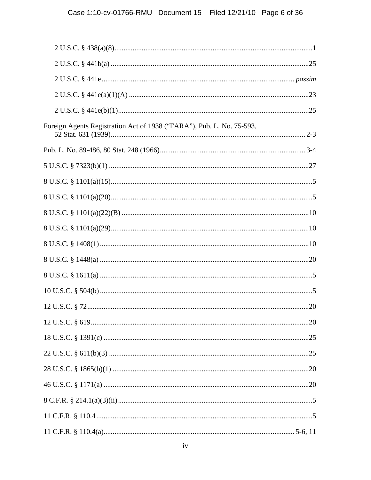| Foreign Agents Registration Act of 1938 ("FARA"), Pub. L. No. 75-593, |  |
|-----------------------------------------------------------------------|--|
|                                                                       |  |
|                                                                       |  |
|                                                                       |  |
|                                                                       |  |
|                                                                       |  |
|                                                                       |  |
|                                                                       |  |
|                                                                       |  |
|                                                                       |  |
|                                                                       |  |
|                                                                       |  |
|                                                                       |  |
|                                                                       |  |
|                                                                       |  |
|                                                                       |  |
|                                                                       |  |
|                                                                       |  |
|                                                                       |  |
|                                                                       |  |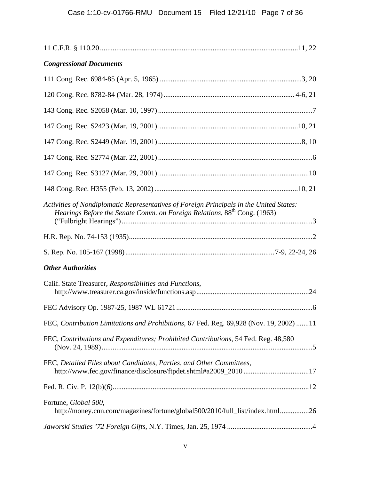| <b>Congressional Documents</b>                                                                                                                                                  |
|---------------------------------------------------------------------------------------------------------------------------------------------------------------------------------|
|                                                                                                                                                                                 |
|                                                                                                                                                                                 |
|                                                                                                                                                                                 |
|                                                                                                                                                                                 |
|                                                                                                                                                                                 |
|                                                                                                                                                                                 |
|                                                                                                                                                                                 |
|                                                                                                                                                                                 |
| Activities of Nondiplomatic Representatives of Foreign Principals in the United States:<br>Hearings Before the Senate Comm. on Foreign Relations, 88 <sup>th</sup> Cong. (1963) |
|                                                                                                                                                                                 |
|                                                                                                                                                                                 |
| <b>Other Authorities</b>                                                                                                                                                        |
| Calif. State Treasurer, Responsibilities and Functions,                                                                                                                         |
|                                                                                                                                                                                 |
| FEC, Contribution Limitations and Prohibitions, 67 Fed. Reg. 69,928 (Nov. 19, 2002) 11                                                                                          |
| FEC, Contributions and Expenditures; Prohibited Contributions, 54 Fed. Reg. 48,580                                                                                              |
| FEC, Detailed Files about Candidates, Parties, and Other Committees,<br>http://www.fec.gov/finance/disclosure/ftpdet.shtml#a2009_201017                                         |
|                                                                                                                                                                                 |
| Fortune, Global 500,<br>http://money.cnn.com/magazines/fortune/global500/2010/full_list/index.html26                                                                            |
|                                                                                                                                                                                 |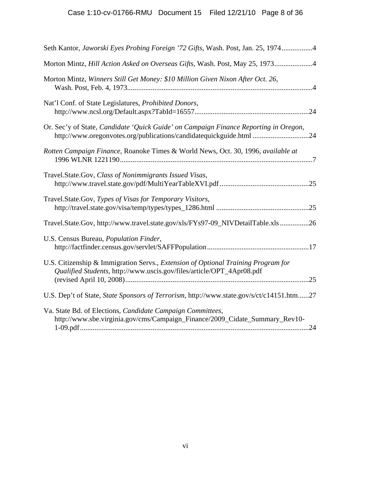| Seth Kantor, Jaworski Eyes Probing Foreign '72 Gifts, Wash. Post, Jan. 25, 19744                                                                            |
|-------------------------------------------------------------------------------------------------------------------------------------------------------------|
| Morton Mintz, Hill Action Asked on Overseas Gifts, Wash. Post, May 25, 19734                                                                                |
| Morton Mintz, Winners Still Get Money: \$10 Million Given Nixon After Oct. 26,                                                                              |
| Nat'l Conf. of State Legislatures, Prohibited Donors,                                                                                                       |
| Or. Sec'y of State, Candidate 'Quick Guide' on Campaign Finance Reporting in Oregon,<br>http://www.oregonvotes.org/publications/candidatequickguide.html 24 |
| Rotten Campaign Finance, Roanoke Times & World News, Oct. 30, 1996, available at                                                                            |
| Travel.State.Gov, Class of Nonimmigrants Issued Visas,                                                                                                      |
| Travel.State.Gov, Types of Visas for Temporary Visitors,                                                                                                    |
| Travel.State.Gov, http://www.travel.state.gov/xls/FYs97-09_NIVDetailTable.xls26                                                                             |
| U.S. Census Bureau, Population Finder,                                                                                                                      |
| U.S. Citizenship & Immigration Servs., Extension of Optional Training Program for<br>Qualified Students, http://www.uscis.gov/files/article/OPT_4Apr08.pdf  |
| U.S. Dep't of State, State Sponsors of Terrorism, http://www.state.gov/s/ct/c14151.htm27                                                                    |
| Va. State Bd. of Elections, Candidate Campaign Committees,<br>http://www.sbe.virginia.gov/cms/Campaign_Finance/2009_Cidate_Summary_Rev10-                   |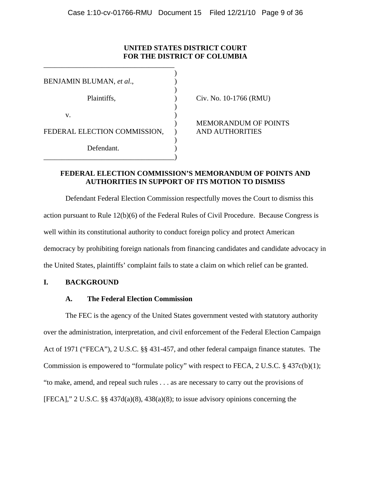# **UNITED STATES DISTRICT COURT FOR THE DISTRICT OF COLUMBIA**

| BENJAMIN BLUMAN, et al.,     |  |
|------------------------------|--|
|                              |  |
| Plaintiffs,                  |  |
|                              |  |
| v.                           |  |
|                              |  |
| FEDERAL ELECTION COMMISSION, |  |
|                              |  |
| Defendant.                   |  |
|                              |  |

\_\_\_\_\_\_\_\_\_\_\_\_\_\_\_\_\_\_\_\_\_\_\_\_\_\_\_\_\_\_\_\_\_\_\_\_

 $P$  Civ. No. 10-1766 (RMU)

 ) MEMORANDUM OF POINTS AND AUTHORITIES

# **FEDERAL ELECTION COMMISSION'S MEMORANDUM OF POINTS AND AUTHORITIES IN SUPPORT OF ITS MOTION TO DISMISS**

Defendant Federal Election Commission respectfully moves the Court to dismiss this action pursuant to Rule 12(b)(6) of the Federal Rules of Civil Procedure. Because Congress is well within its constitutional authority to conduct foreign policy and protect American democracy by prohibiting foreign nationals from financing candidates and candidate advocacy in the United States, plaintiffs' complaint fails to state a claim on which relief can be granted.

# **I. BACKGROUND**

# **A. The Federal Election Commission**

The FEC is the agency of the United States government vested with statutory authority over the administration, interpretation, and civil enforcement of the Federal Election Campaign Act of 1971 ("FECA"), 2 U.S.C. §§ 431-457, and other federal campaign finance statutes. The Commission is empowered to "formulate policy" with respect to FECA, 2 U.S.C.  $\S$  437c(b)(1); "to make, amend, and repeal such rules . . . as are necessary to carry out the provisions of [FECA]," 2 U.S.C. §§ 437d(a)(8), 438(a)(8); to issue advisory opinions concerning the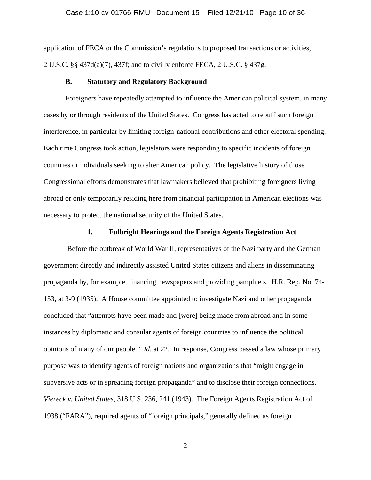#### Case 1:10-cv-01766-RMU Document 15 Filed 12/21/10 Page 10 of 36

application of FECA or the Commission's regulations to proposed transactions or activities, 2 U.S.C. §§ 437d(a)(7), 437f; and to civilly enforce FECA, 2 U.S.C. § 437g.

#### **B. Statutory and Regulatory Background**

Foreigners have repeatedly attempted to influence the American political system, in many cases by or through residents of the United States. Congress has acted to rebuff such foreign interference, in particular by limiting foreign-national contributions and other electoral spending. Each time Congress took action, legislators were responding to specific incidents of foreign countries or individuals seeking to alter American policy. The legislative history of those Congressional efforts demonstrates that lawmakers believed that prohibiting foreigners living abroad or only temporarily residing here from financial participation in American elections was necessary to protect the national security of the United States.

#### **1. Fulbright Hearings and the Foreign Agents Registration Act**

 Before the outbreak of World War II, representatives of the Nazi party and the German government directly and indirectly assisted United States citizens and aliens in disseminating propaganda by, for example, financing newspapers and providing pamphlets. H.R. Rep. No. 74- 153, at 3-9 (1935). A House committee appointed to investigate Nazi and other propaganda concluded that "attempts have been made and [were] being made from abroad and in some instances by diplomatic and consular agents of foreign countries to influence the political opinions of many of our people." *Id*. at 22. In response, Congress passed a law whose primary purpose was to identify agents of foreign nations and organizations that "might engage in subversive acts or in spreading foreign propaganda" and to disclose their foreign connections. *Viereck v. United States*, 318 U.S. 236, 241 (1943). The Foreign Agents Registration Act of 1938 ("FARA"), required agents of "foreign principals," generally defined as foreign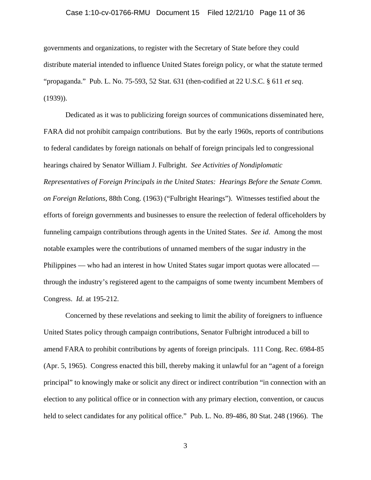#### Case 1:10-cv-01766-RMU Document 15 Filed 12/21/10 Page 11 of 36

governments and organizations, to register with the Secretary of State before they could distribute material intended to influence United States foreign policy, or what the statute termed "propaganda." Pub. L. No. 75-593, 52 Stat. 631 (then-codified at 22 U.S.C. § 611 *et seq*. (1939)).

 Dedicated as it was to publicizing foreign sources of communications disseminated here, FARA did not prohibit campaign contributions. But by the early 1960s, reports of contributions to federal candidates by foreign nationals on behalf of foreign principals led to congressional hearings chaired by Senator William J. Fulbright. *See Activities of Nondiplomatic Representatives of Foreign Principals in the United States: Hearings Before the Senate Comm. on Foreign Relations*, 88th Cong. (1963) ("Fulbright Hearings"). Witnesses testified about the efforts of foreign governments and businesses to ensure the reelection of federal officeholders by funneling campaign contributions through agents in the United States. *See id*. Among the most notable examples were the contributions of unnamed members of the sugar industry in the Philippines — who had an interest in how United States sugar import quotas were allocated through the industry's registered agent to the campaigns of some twenty incumbent Members of Congress. *Id*. at 195-212.

 Concerned by these revelations and seeking to limit the ability of foreigners to influence United States policy through campaign contributions, Senator Fulbright introduced a bill to amend FARA to prohibit contributions by agents of foreign principals. 111 Cong. Rec. 6984-85 (Apr. 5, 1965). Congress enacted this bill, thereby making it unlawful for an "agent of a foreign principal" to knowingly make or solicit any direct or indirect contribution "in connection with an election to any political office or in connection with any primary election, convention, or caucus held to select candidates for any political office." Pub. L. No. 89-486, 80 Stat. 248 (1966). The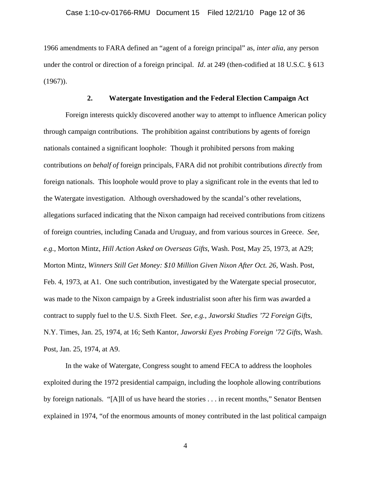1966 amendments to FARA defined an "agent of a foreign principal" as, *inter alia*, any person under the control or direction of a foreign principal. *Id*. at 249 (then-codified at 18 U.S.C. § 613  $(1967)$ ).

#### **2. Watergate Investigation and the Federal Election Campaign Act**

 Foreign interests quickly discovered another way to attempt to influence American policy through campaign contributions. The prohibition against contributions by agents of foreign nationals contained a significant loophole: Though it prohibited persons from making contributions *on behalf of* foreign principals, FARA did not prohibit contributions *directly* from foreign nationals. This loophole would prove to play a significant role in the events that led to the Watergate investigation. Although overshadowed by the scandal's other revelations, allegations surfaced indicating that the Nixon campaign had received contributions from citizens of foreign countries, including Canada and Uruguay, and from various sources in Greece. *See*, *e.g.*, Morton Mintz, *Hill Action Asked on Overseas Gifts*, Wash. Post, May 25, 1973, at A29; Morton Mintz, *Winners Still Get Money: \$10 Million Given Nixon After Oct. 26*, Wash. Post, Feb. 4, 1973, at A1. One such contribution, investigated by the Watergate special prosecutor, was made to the Nixon campaign by a Greek industrialist soon after his firm was awarded a contract to supply fuel to the U.S. Sixth Fleet. *See*, *e.g.*, *Jaworski Studies '72 Foreign Gifts*, N.Y. Times, Jan. 25, 1974, at 16; Seth Kantor, *Jaworski Eyes Probing Foreign '72 Gifts*, Wash. Post, Jan. 25, 1974, at A9.

In the wake of Watergate, Congress sought to amend FECA to address the loopholes exploited during the 1972 presidential campaign, including the loophole allowing contributions by foreign nationals. "[A]ll of us have heard the stories . . . in recent months," Senator Bentsen explained in 1974, "of the enormous amounts of money contributed in the last political campaign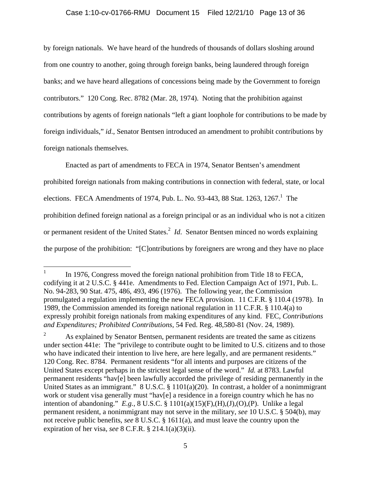### Case 1:10-cv-01766-RMU Document 15 Filed 12/21/10 Page 13 of 36

by foreign nationals. We have heard of the hundreds of thousands of dollars sloshing around from one country to another, going through foreign banks, being laundered through foreign banks; and we have heard allegations of concessions being made by the Government to foreign contributors." 120 Cong. Rec. 8782 (Mar. 28, 1974). Noting that the prohibition against contributions by agents of foreign nationals "left a giant loophole for contributions to be made by foreign individuals," *id*., Senator Bentsen introduced an amendment to prohibit contributions by foreign nationals themselves.

 Enacted as part of amendments to FECA in 1974, Senator Bentsen's amendment prohibited foreign nationals from making contributions in connection with federal, state, or local elections. FECA Amendments of 1974, Pub. L. No. 93-443, 88 Stat.  $1263$ ,  $1267$ .<sup>1</sup> The prohibition defined foreign national as a foreign principal or as an individual who is not a citizen or permanent resident of the United States.<sup>2</sup> *Id*. Senator Bentsen minced no words explaining the purpose of the prohibition: "[C]ontributions by foreigners are wrong and they have no place

 $\frac{1}{1}$  In 1976, Congress moved the foreign national prohibition from Title 18 to FECA, codifying it at 2 U.S.C. § 441e. Amendments to Fed. Election Campaign Act of 1971, Pub. L. No. 94-283, 90 Stat. 475, 486, 493, 496 (1976). The following year, the Commission promulgated a regulation implementing the new FECA provision. 11 C.F.R. § 110.4 (1978). In 1989, the Commission amended its foreign national regulation in 11 C.F.R. § 110.4(a) to expressly prohibit foreign nationals from making expenditures of any kind. FEC, *Contributions and Expenditures; Prohibited Contributions*, 54 Fed. Reg. 48,580-81 (Nov. 24, 1989).

<sup>2</sup> As explained by Senator Bentsen, permanent residents are treated the same as citizens under section 441e: The "privilege to contribute ought to be limited to U.S. citizens and to those who have indicated their intention to live here, are here legally, and are permanent residents." 120 Cong. Rec. 8784. Permanent residents "for all intents and purposes are citizens of the United States except perhaps in the strictest legal sense of the word." *Id.* at 8783. Lawful permanent residents "hav[e] been lawfully accorded the privilege of residing permanently in the United States as an immigrant." 8 U.S.C. § 1101(a)(20). In contrast, a holder of a nonimmigrant work or student visa generally must "hav[e] a residence in a foreign country which he has no intention of abandoning." *E.g.*, 8 U.S.C. § 1101(a)(15)(F),(H),(J),(O),(P). Unlike a legal permanent resident, a nonimmigrant may not serve in the military, *see* 10 U.S.C. § 504(b), may not receive public benefits, *see* 8 U.S.C. § 1611(a), and must leave the country upon the expiration of her visa, *see* 8 C.F.R. § 214.1(a)(3)(ii).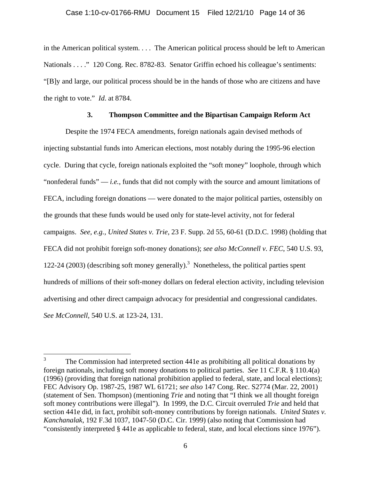in the American political system. . . . The American political process should be left to American Nationals . . . ." 120 Cong. Rec. 8782-83. Senator Griffin echoed his colleague's sentiments: "[B]y and large, our political process should be in the hands of those who are citizens and have the right to vote." *Id*. at 8784.

# **3. Thompson Committee and the Bipartisan Campaign Reform Act**

 Despite the 1974 FECA amendments, foreign nationals again devised methods of injecting substantial funds into American elections, most notably during the 1995-96 election cycle. During that cycle, foreign nationals exploited the "soft money" loophole, through which "nonfederal funds" — *i.e.*, funds that did not comply with the source and amount limitations of FECA, including foreign donations — were donated to the major political parties, ostensibly on the grounds that these funds would be used only for state-level activity, not for federal campaigns. *See, e.g., United States v. Trie*, 23 F. Supp. 2d 55, 60-61 (D.D.C. 1998) (holding that FECA did not prohibit foreign soft-money donations); *see also McConnell v. FEC*, 540 U.S. 93, 122-24 (2003) (describing soft money generally).<sup>3</sup> Nonetheless, the political parties spent hundreds of millions of their soft-money dollars on federal election activity, including television advertising and other direct campaign advocacy for presidential and congressional candidates. *See McConnell*, 540 U.S. at 123-24, 131.

 $\frac{1}{3}$  The Commission had interpreted section 441e as prohibiting all political donations by foreign nationals, including soft money donations to political parties. *See* 11 C.F.R. § 110.4(a) (1996) (providing that foreign national prohibition applied to federal, state, and local elections); FEC Advisory Op. 1987-25, 1987 WL 61721; *see also* 147 Cong. Rec. S2774 (Mar. 22, 2001) (statement of Sen. Thompson) (mentioning *Trie* and noting that "I think we all thought foreign soft money contributions were illegal"). In 1999, the D.C. Circuit overruled *Trie* and held that section 441e did, in fact, prohibit soft-money contributions by foreign nationals. *United States v. Kanchanalak*, 192 F.3d 1037, 1047-50 (D.C. Cir. 1999) (also noting that Commission had "consistently interpreted § 441e as applicable to federal, state, and local elections since 1976").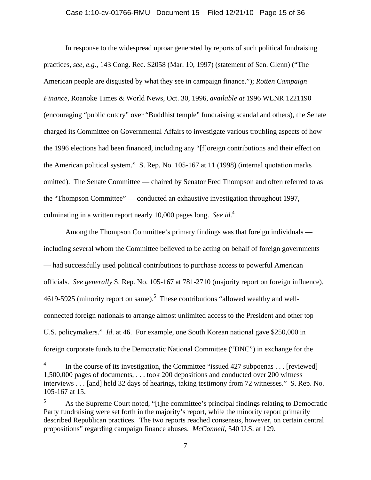#### Case 1:10-cv-01766-RMU Document 15 Filed 12/21/10 Page 15 of 36

In response to the widespread uproar generated by reports of such political fundraising practices, *see, e.g.,* 143 Cong. Rec. S2058 (Mar. 10, 1997) (statement of Sen. Glenn) ("The American people are disgusted by what they see in campaign finance."); *Rotten Campaign Finance*, Roanoke Times & World News, Oct. 30, 1996, *available at* 1996 WLNR 1221190 (encouraging "public outcry" over "Buddhist temple" fundraising scandal and others), the Senate charged its Committee on Governmental Affairs to investigate various troubling aspects of how the 1996 elections had been financed, including any "[f]oreign contributions and their effect on the American political system." S. Rep. No. 105-167 at 11 (1998) (internal quotation marks omitted). The Senate Committee — chaired by Senator Fred Thompson and often referred to as the "Thompson Committee" — conducted an exhaustive investigation throughout 1997, culminating in a written report nearly 10,000 pages long. *See id*. 4

Among the Thompson Committee's primary findings was that foreign individuals including several whom the Committee believed to be acting on behalf of foreign governments — had successfully used political contributions to purchase access to powerful American officials. *See generally* S. Rep. No. 105-167 at 781-2710 (majority report on foreign influence), 4619-5925 (minority report on same).<sup>5</sup> These contributions "allowed wealthy and wellconnected foreign nationals to arrange almost unlimited access to the President and other top U.S. policymakers." *Id*. at 46. For example, one South Korean national gave \$250,000 in foreign corporate funds to the Democratic National Committee ("DNC") in exchange for the

 $\frac{1}{4}$  In the course of its investigation, the Committee "issued 427 subpoenas . . . [reviewed] 1,500,000 pages of documents, . . . took 200 depositions and conducted over 200 witness interviews . . . [and] held 32 days of hearings, taking testimony from 72 witnesses." S. Rep. No. 105-167 at 15.

<sup>5</sup> As the Supreme Court noted, "[t]he committee's principal findings relating to Democratic Party fundraising were set forth in the majority's report, while the minority report primarily described Republican practices. The two reports reached consensus, however, on certain central propositions" regarding campaign finance abuses. *McConnell*, 540 U.S. at 129.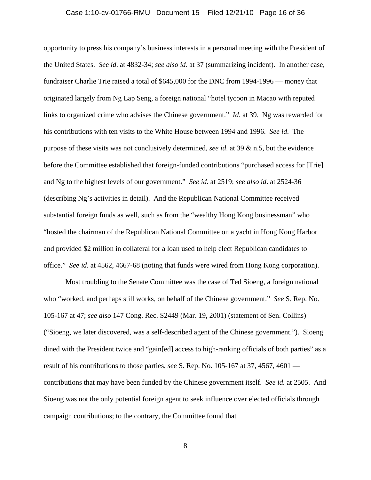#### Case 1:10-cv-01766-RMU Document 15 Filed 12/21/10 Page 16 of 36

opportunity to press his company's business interests in a personal meeting with the President of the United States. *See id*. at 4832-34; *see also id*. at 37 (summarizing incident). In another case, fundraiser Charlie Trie raised a total of \$645,000 for the DNC from 1994-1996 — money that originated largely from Ng Lap Seng, a foreign national "hotel tycoon in Macao with reputed links to organized crime who advises the Chinese government." *Id*. at 39. Ng was rewarded for his contributions with ten visits to the White House between 1994 and 1996. *See id*. The purpose of these visits was not conclusively determined, *see id*. at 39 & n.5, but the evidence before the Committee established that foreign-funded contributions "purchased access for [Trie] and Ng to the highest levels of our government." *See id*. at 2519; *see also id*. at 2524-36 (describing Ng's activities in detail). And the Republican National Committee received substantial foreign funds as well, such as from the "wealthy Hong Kong businessman" who "hosted the chairman of the Republican National Committee on a yacht in Hong Kong Harbor and provided \$2 million in collateral for a loan used to help elect Republican candidates to office." *See id*. at 4562, 4667-68 (noting that funds were wired from Hong Kong corporation).

Most troubling to the Senate Committee was the case of Ted Sioeng, a foreign national who "worked, and perhaps still works, on behalf of the Chinese government." *See* S. Rep. No. 105-167 at 47; *see also* 147 Cong. Rec. S2449 (Mar. 19, 2001) (statement of Sen. Collins) ("Sioeng, we later discovered, was a self-described agent of the Chinese government."). Sioeng dined with the President twice and "gain[ed] access to high-ranking officials of both parties" as a result of his contributions to those parties, *see* S. Rep. No. 105-167 at 37, 4567, 4601 contributions that may have been funded by the Chinese government itself. *See id.* at 2505. And Sioeng was not the only potential foreign agent to seek influence over elected officials through campaign contributions; to the contrary, the Committee found that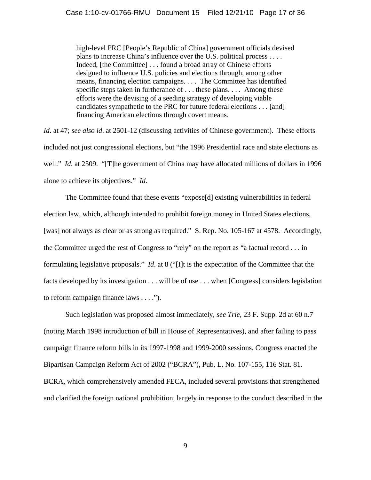high-level PRC [People's Republic of China] government officials devised plans to increase China's influence over the U.S. political process . . . . Indeed, [the Committee] . . . found a broad array of Chinese efforts designed to influence U.S. policies and elections through, among other means, financing election campaigns. . . . The Committee has identified specific steps taken in furtherance of . . . these plans. . . . Among these efforts were the devising of a seeding strategy of developing viable candidates sympathetic to the PRC for future federal elections . . . [and] financing American elections through covert means.

*Id*. at 47; *see also id*. at 2501-12 (discussing activities of Chinese government). These efforts included not just congressional elections, but "the 1996 Presidential race and state elections as well." *Id.* at 2509. "[T]he government of China may have allocated millions of dollars in 1996 alone to achieve its objectives." *Id*.

The Committee found that these events "expose[d] existing vulnerabilities in federal election law, which, although intended to prohibit foreign money in United States elections, [was] not always as clear or as strong as required." S. Rep. No. 105-167 at 4578. Accordingly, the Committee urged the rest of Congress to "rely" on the report as "a factual record . . . in formulating legislative proposals." *Id*. at 8 ("[I]t is the expectation of the Committee that the facts developed by its investigation . . . will be of use . . . when [Congress] considers legislation to reform campaign finance laws . . . .").

Such legislation was proposed almost immediately, *see Trie*, 23 F. Supp. 2d at 60 n.7 (noting March 1998 introduction of bill in House of Representatives), and after failing to pass campaign finance reform bills in its 1997-1998 and 1999-2000 sessions, Congress enacted the Bipartisan Campaign Reform Act of 2002 ("BCRA"), Pub. L. No. 107-155, 116 Stat. 81. BCRA, which comprehensively amended FECA, included several provisions that strengthened and clarified the foreign national prohibition, largely in response to the conduct described in the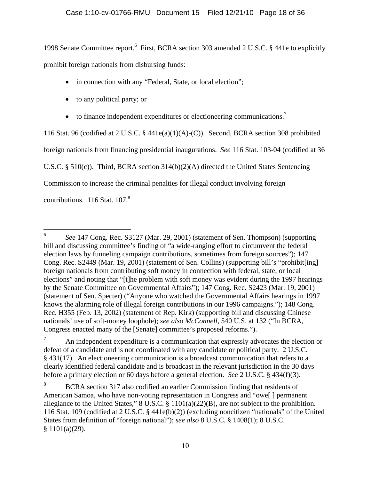1998 Senate Committee report.<sup>6</sup> First, BCRA section 303 amended 2 U.S.C. § 441e to explicitly prohibit foreign nationals from disbursing funds:

- in connection with any "Federal, State, or local election";
- to any political party; or
- to finance independent expenditures or electioneering communications.<sup>7</sup>

116 Stat. 96 (codified at 2 U.S.C. § 441e(a)(1)(A)-(C)). Second, BCRA section 308 prohibited foreign nationals from financing presidential inaugurations. *See* 116 Stat. 103-04 (codified at 36 U.S.C. § 510(c)). Third, BCRA section 314(b)(2)(A) directed the United States Sentencing Commission to increase the criminal penalties for illegal conduct involving foreign contributions.  $116$  Stat.  $107<sup>8</sup>$ 

 $\frac{1}{6}$  *See* 147 Cong. Rec. S3127 (Mar. 29, 2001) (statement of Sen. Thompson) (supporting bill and discussing committee's finding of "a wide-ranging effort to circumvent the federal election laws by funneling campaign contributions, sometimes from foreign sources"); 147 Cong. Rec. S2449 (Mar. 19, 2001) (statement of Sen. Collins) (supporting bill's "prohibit[ing] foreign nationals from contributing soft money in connection with federal, state, or local elections" and noting that "[t]he problem with soft money was evident during the 1997 hearings by the Senate Committee on Governmental Affairs"); 147 Cong. Rec. S2423 (Mar. 19, 2001) (statement of Sen. Specter) ("Anyone who watched the Governmental Affairs hearings in 1997 knows the alarming role of illegal foreign contributions in our 1996 campaigns."); 148 Cong. Rec. H355 (Feb. 13, 2002) (statement of Rep. Kirk) (supporting bill and discussing Chinese nationals' use of soft-money loophole); *see also McConnell*, 540 U.S. at 132 ("In BCRA, Congress enacted many of the [Senate] committee's proposed reforms.").

<sup>7</sup> An independent expenditure is a communication that expressly advocates the election or defeat of a candidate and is not coordinated with any candidate or political party. 2 U.S.C. § 431(17). An electioneering communication is a broadcast communication that refers to a clearly identified federal candidate and is broadcast in the relevant jurisdiction in the 30 days before a primary election or 60 days before a general election. *See* 2 U.S.C. § 434(f)(3).

<sup>8</sup> BCRA section 317 also codified an earlier Commission finding that residents of American Samoa, who have non-voting representation in Congress and "owe[ ] permanent allegiance to the United States," 8 U.S.C. § 1101(a)(22)(B), are not subject to the prohibition. 116 Stat. 109 (codified at 2 U.S.C. § 441e(b)(2)) (excluding noncitizen "nationals" of the United States from definition of "foreign national"); *see also* 8 U.S.C. § 1408(1); 8 U.S.C. § 1101(a)(29).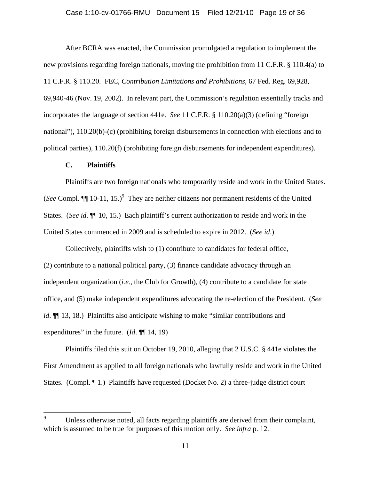#### Case 1:10-cv-01766-RMU Document 15 Filed 12/21/10 Page 19 of 36

 After BCRA was enacted, the Commission promulgated a regulation to implement the new provisions regarding foreign nationals, moving the prohibition from 11 C.F.R. § 110.4(a) to 11 C.F.R. § 110.20. FEC, *Contribution Limitations and Prohibitions*, 67 Fed. Reg. 69,928, 69,940-46 (Nov. 19, 2002). In relevant part, the Commission's regulation essentially tracks and incorporates the language of section 441e. *See* 11 C.F.R. § 110.20(a)(3) (defining "foreign national"), 110.20(b)-(c) (prohibiting foreign disbursements in connection with elections and to political parties), 110.20(f) (prohibiting foreign disbursements for independent expenditures).

#### **C. Plaintiffs**

1

Plaintiffs are two foreign nationals who temporarily reside and work in the United States. (*See* Compl. **[1** 10-11, 15.)<sup>9</sup> They are neither citizens nor permanent residents of the United States. (*See id*. ¶¶ 10, 15.) Each plaintiff's current authorization to reside and work in the United States commenced in 2009 and is scheduled to expire in 2012. (*See id*.)

Collectively, plaintiffs wish to (1) contribute to candidates for federal office, (2) contribute to a national political party, (3) finance candidate advocacy through an independent organization (*i.e.*, the Club for Growth), (4) contribute to a candidate for state office, and (5) make independent expenditures advocating the re-election of the President. (*See id*.  $\P$ [13, 18.) Plaintiffs also anticipate wishing to make "similar contributions and expenditures" in the future. (*Id*. ¶¶ 14, 19)

Plaintiffs filed this suit on October 19, 2010, alleging that 2 U.S.C. § 441e violates the First Amendment as applied to all foreign nationals who lawfully reside and work in the United States. (Compl. ¶ 1.) Plaintiffs have requested (Docket No. 2) a three-judge district court

<sup>9</sup> Unless otherwise noted, all facts regarding plaintiffs are derived from their complaint, which is assumed to be true for purposes of this motion only. *See infra* p. 12.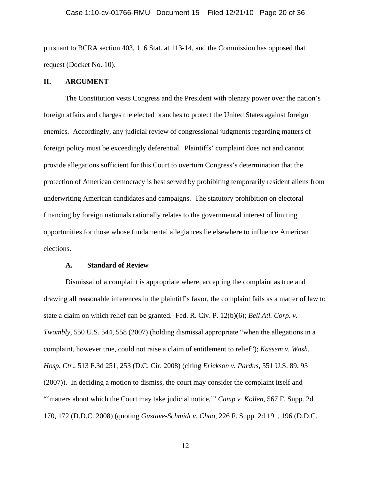#### Case 1:10-cv-01766-RMU Document 15 Filed 12/21/10 Page 20 of 36

pursuant to BCRA section 403, 116 Stat. at 113-14, and the Commission has opposed that request (Docket No. 10).

### **II. ARGUMENT**

 The Constitution vests Congress and the President with plenary power over the nation's foreign affairs and charges the elected branches to protect the United States against foreign enemies. Accordingly, any judicial review of congressional judgments regarding matters of foreign policy must be exceedingly deferential. Plaintiffs' complaint does not and cannot provide allegations sufficient for this Court to overturn Congress's determination that the protection of American democracy is best served by prohibiting temporarily resident aliens from underwriting American candidates and campaigns. The statutory prohibition on electoral financing by foreign nationals rationally relates to the governmental interest of limiting opportunities for those whose fundamental allegiances lie elsewhere to influence American elections.

#### **A. Standard of Review**

Dismissal of a complaint is appropriate where, accepting the complaint as true and drawing all reasonable inferences in the plaintiff's favor, the complaint fails as a matter of law to state a claim on which relief can be granted. Fed. R. Civ. P. 12(b)(6); *Bell Atl. Corp. v. Twombly*, 550 U.S. 544, 558 (2007) (holding dismissal appropriate "when the allegations in a complaint, however true, could not raise a claim of entitlement to relief"); *Kassem v. Wash. Hosp. Ctr*., 513 F.3d 251, 253 (D.C. Cir. 2008) (citing *Erickson v. Pardus,* 551 U.S. 89, 93 (2007)). In deciding a motion to dismiss, the court may consider the complaint itself and "'matters about which the Court may take judicial notice," *Camp v. Kollen*, 567 F. Supp. 2d 170, 172 (D.D.C. 2008) (quoting *Gustave-Schmidt v. Chao*, 226 F. Supp. 2d 191, 196 (D.D.C.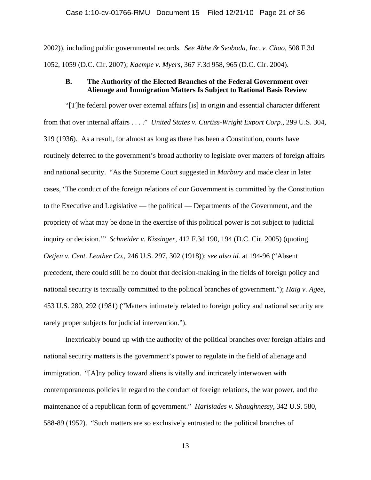2002)), including public governmental records. *See Abhe & Svoboda, Inc. v. Chao*, 508 F.3d 1052, 1059 (D.C. Cir. 2007); *Kaempe v. Myers*, 367 F.3d 958, 965 (D.C. Cir. 2004).

# **B. The Authority of the Elected Branches of the Federal Government over Alienage and Immigration Matters Is Subject to Rational Basis Review**

"[T]he federal power over external affairs [is] in origin and essential character different from that over internal affairs . . . ." *United States v. Curtiss-Wright Export Corp.*, 299 U.S. 304, 319 (1936). As a result, for almost as long as there has been a Constitution, courts have routinely deferred to the government's broad authority to legislate over matters of foreign affairs and national security. "As the Supreme Court suggested in *Marbury* and made clear in later cases, 'The conduct of the foreign relations of our Government is committed by the Constitution to the Executive and Legislative — the political — Departments of the Government, and the propriety of what may be done in the exercise of this political power is not subject to judicial inquiry or decision.'" *Schneider v. Kissinger*, 412 F.3d 190, 194 (D.C. Cir. 2005) (quoting *Oetjen v. Cent. Leather Co.,* 246 U.S. 297, 302 (1918)); *see also id.* at 194-96 ("Absent precedent, there could still be no doubt that decision-making in the fields of foreign policy and national security is textually committed to the political branches of government."); *Haig v. Agee*, 453 U.S. 280, 292 (1981) ("Matters intimately related to foreign policy and national security are rarely proper subjects for judicial intervention.").

 Inextricably bound up with the authority of the political branches over foreign affairs and national security matters is the government's power to regulate in the field of alienage and immigration. "[A]ny policy toward aliens is vitally and intricately interwoven with contemporaneous policies in regard to the conduct of foreign relations, the war power, and the maintenance of a republican form of government." *Harisiades v. Shaughnessy*, 342 U.S. 580, 588-89 (1952). "Such matters are so exclusively entrusted to the political branches of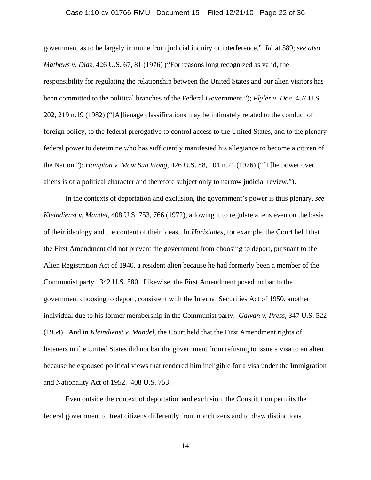#### Case 1:10-cv-01766-RMU Document 15 Filed 12/21/10 Page 22 of 36

government as to be largely immune from judicial inquiry or interference." *Id.* at 589; *see also Mathews v. Diaz*, 426 U.S. 67, 81 (1976) ("For reasons long recognized as valid, the responsibility for regulating the relationship between the United States and our alien visitors has been committed to the political branches of the Federal Government."); *Plyler v. Doe*, 457 U.S. 202, 219 n.19 (1982) ("[A]lienage classifications may be intimately related to the conduct of foreign policy, to the federal prerogative to control access to the United States, and to the plenary federal power to determine who has sufficiently manifested his allegiance to become a citizen of the Nation."); *Hampton v. Mow Sun Wong*, 426 U.S. 88, 101 n.21 (1976) ("[T]he power over aliens is of a political character and therefore subject only to narrow judicial review.").

In the contexts of deportation and exclusion, the government's power is thus plenary, *see Kleindienst v. Mandel*, 408 U.S. 753, 766 (1972), allowing it to regulate aliens even on the basis of their ideology and the content of their ideas. In *Harisiades*, for example, the Court held that the First Amendment did not prevent the government from choosing to deport, pursuant to the Alien Registration Act of 1940, a resident alien because he had formerly been a member of the Communist party. 342 U.S. 580. Likewise, the First Amendment posed no bar to the government choosing to deport, consistent with the Internal Securities Act of 1950, another individual due to his former membership in the Communist party. *Galvan v. Press*, 347 U.S. 522 (1954). And in *Kleindienst v. Mandel*, the Court held that the First Amendment rights of listeners in the United States did not bar the government from refusing to issue a visa to an alien because he espoused political views that rendered him ineligible for a visa under the Immigration and Nationality Act of 1952. 408 U.S. 753.

 Even outside the context of deportation and exclusion, the Constitution permits the federal government to treat citizens differently from noncitizens and to draw distinctions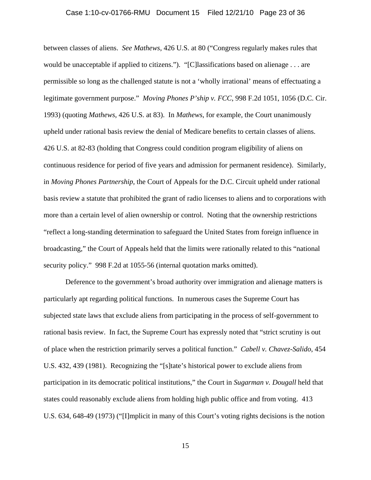#### Case 1:10-cv-01766-RMU Document 15 Filed 12/21/10 Page 23 of 36

between classes of aliens. *See Mathews*, 426 U.S. at 80 ("Congress regularly makes rules that would be unacceptable if applied to citizens."). "[C]lassifications based on alienage . . . are permissible so long as the challenged statute is not a 'wholly irrational' means of effectuating a legitimate government purpose." *Moving Phones P'ship v. FCC*, 998 F.2d 1051, 1056 (D.C. Cir. 1993) (quoting *Mathews*, 426 U.S. at 83). In *Mathews*, for example, the Court unanimously upheld under rational basis review the denial of Medicare benefits to certain classes of aliens. 426 U.S. at 82-83 (holding that Congress could condition program eligibility of aliens on continuous residence for period of five years and admission for permanent residence). Similarly, in *Moving Phones Partnership,* the Court of Appeals for the D.C. Circuit upheld under rational basis review a statute that prohibited the grant of radio licenses to aliens and to corporations with more than a certain level of alien ownership or control. Noting that the ownership restrictions "reflect a long-standing determination to safeguard the United States from foreign influence in broadcasting," the Court of Appeals held that the limits were rationally related to this "national security policy." 998 F.2d at 1055-56 (internal quotation marks omitted).

 Deference to the government's broad authority over immigration and alienage matters is particularly apt regarding political functions. In numerous cases the Supreme Court has subjected state laws that exclude aliens from participating in the process of self-government to rational basis review. In fact, the Supreme Court has expressly noted that "strict scrutiny is out of place when the restriction primarily serves a political function." *Cabell v. Chavez-Salido*, 454 U.S. 432, 439 (1981). Recognizing the "[s]tate's historical power to exclude aliens from participation in its democratic political institutions," the Court in *Sugarman v. Dougall* held that states could reasonably exclude aliens from holding high public office and from voting. 413 U.S. 634, 648-49 (1973) ("[I]mplicit in many of this Court's voting rights decisions is the notion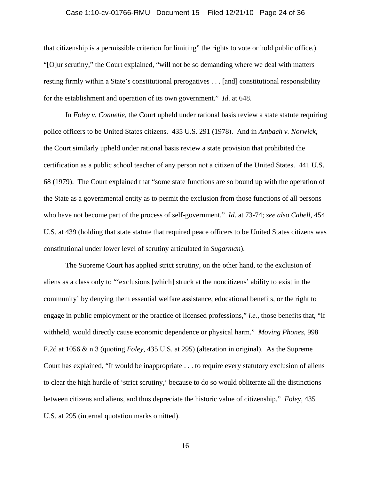# Case 1:10-cv-01766-RMU Document 15 Filed 12/21/10 Page 24 of 36

that citizenship is a permissible criterion for limiting" the rights to vote or hold public office.). "[O]ur scrutiny," the Court explained, "will not be so demanding where we deal with matters resting firmly within a State's constitutional prerogatives . . . [and] constitutional responsibility for the establishment and operation of its own government." *Id*. at 648.

In *Foley v. Connelie*, the Court upheld under rational basis review a state statute requiring police officers to be United States citizens. 435 U.S. 291 (1978). And in *Ambach v. Norwick*, the Court similarly upheld under rational basis review a state provision that prohibited the certification as a public school teacher of any person not a citizen of the United States. 441 U.S. 68 (1979). The Court explained that "some state functions are so bound up with the operation of the State as a governmental entity as to permit the exclusion from those functions of all persons who have not become part of the process of self-government." *Id*. at 73-74; *see also Cabell*, 454 U.S. at 439 (holding that state statute that required peace officers to be United States citizens was constitutional under lower level of scrutiny articulated in *Sugarman*).

The Supreme Court has applied strict scrutiny, on the other hand, to the exclusion of aliens as a class only to "'exclusions [which] struck at the noncitizens' ability to exist in the community' by denying them essential welfare assistance, educational benefits, or the right to engage in public employment or the practice of licensed professions," *i.e.*, those benefits that, "if withheld, would directly cause economic dependence or physical harm." *Moving Phones*, 998 F.2d at 1056 & n.3 (quoting *Foley*, 435 U.S. at 295) (alteration in original). As the Supreme Court has explained, "It would be inappropriate . . . to require every statutory exclusion of aliens to clear the high hurdle of 'strict scrutiny,' because to do so would obliterate all the distinctions between citizens and aliens, and thus depreciate the historic value of citizenship." *Foley*, 435 U.S. at 295 (internal quotation marks omitted).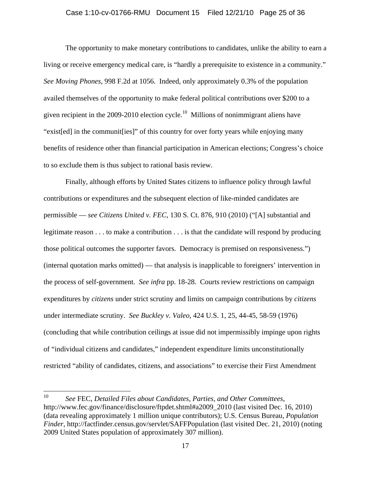#### Case 1:10-cv-01766-RMU Document 15 Filed 12/21/10 Page 25 of 36

The opportunity to make monetary contributions to candidates, unlike the ability to earn a living or receive emergency medical care, is "hardly a prerequisite to existence in a community." *See Moving Phones*, 998 F.2d at 1056. Indeed, only approximately 0.3% of the population availed themselves of the opportunity to make federal political contributions over \$200 to a given recipient in the  $2009-2010$  election cycle.<sup>10</sup> Millions of nonimmigrant aliens have "exist[ed] in the communit[ies]" of this country for over forty years while enjoying many benefits of residence other than financial participation in American elections; Congress's choice to so exclude them is thus subject to rational basis review.

Finally, although efforts by United States citizens to influence policy through lawful contributions or expenditures and the subsequent election of like-minded candidates are permissible — *see Citizens United v. FEC*, 130 S. Ct. 876, 910 (2010) ("[A] substantial and legitimate reason . . . to make a contribution . . . is that the candidate will respond by producing those political outcomes the supporter favors. Democracy is premised on responsiveness.") (internal quotation marks omitted) — that analysis is inapplicable to foreigners' intervention in the process of self-government. *See infra* pp. 18-28. Courts review restrictions on campaign expenditures by *citizens* under strict scrutiny and limits on campaign contributions by *citizens* under intermediate scrutiny. *See Buckley v. Valeo*, 424 U.S. 1, 25, 44-45, 58-59 (1976) (concluding that while contribution ceilings at issue did not impermissibly impinge upon rights of "individual citizens and candidates," independent expenditure limits unconstitutionally restricted "ability of candidates, citizens, and associations" to exercise their First Amendment

 $10\,$ 10 *See* FEC, *Detailed Files about Candidates, Parties, and Other Committees*, http://www.fec.gov/finance/disclosure/ftpdet.shtml#a2009\_2010 (last visited Dec. 16, 2010) (data revealing approximately 1 million unique contributors); U.S. Census Bureau, *Population Finder*, http://factfinder.census.gov/servlet/SAFFPopulation (last visited Dec. 21, 2010) (noting 2009 United States population of approximately 307 million).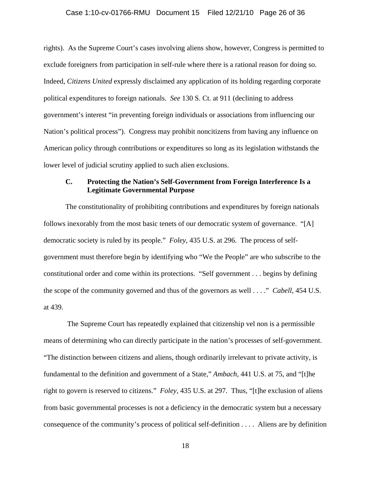#### Case 1:10-cv-01766-RMU Document 15 Filed 12/21/10 Page 26 of 36

rights). As the Supreme Court's cases involving aliens show, however, Congress is permitted to exclude foreigners from participation in self-rule where there is a rational reason for doing so. Indeed, *Citizens United* expressly disclaimed any application of its holding regarding corporate political expenditures to foreign nationals. *See* 130 S. Ct*.* at 911 (declining to address government's interest "in preventing foreign individuals or associations from influencing our Nation's political process"). Congress may prohibit noncitizens from having any influence on American policy through contributions or expenditures so long as its legislation withstands the lower level of judicial scrutiny applied to such alien exclusions.

# **C. Protecting the Nation's Self-Government from Foreign Interference Is a Legitimate Governmental Purpose**

 The constitutionality of prohibiting contributions and expenditures by foreign nationals follows inexorably from the most basic tenets of our democratic system of governance. "[A] democratic society is ruled by its people." *Foley*, 435 U.S. at 296. The process of selfgovernment must therefore begin by identifying who "We the People" are who subscribe to the constitutional order and come within its protections. "Self government . . . begins by defining the scope of the community governed and thus of the governors as well . . . ." *Cabell*, 454 U.S. at 439.

 The Supreme Court has repeatedly explained that citizenship vel non is a permissible means of determining who can directly participate in the nation's processes of self-government. "The distinction between citizens and aliens, though ordinarily irrelevant to private activity, is fundamental to the definition and government of a State," *Ambach*, 441 U.S. at 75, and "[t]he right to govern is reserved to citizens." *Foley*, 435 U.S. at 297. Thus, "[t]he exclusion of aliens from basic governmental processes is not a deficiency in the democratic system but a necessary consequence of the community's process of political self-definition . . . . Aliens are by definition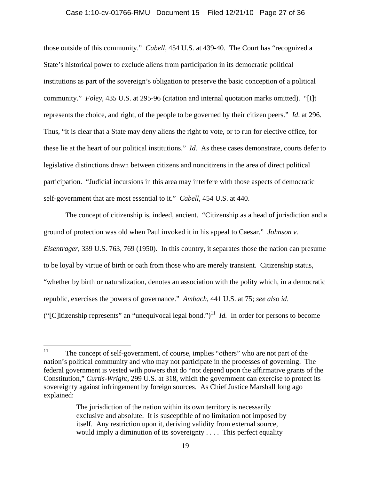#### Case 1:10-cv-01766-RMU Document 15 Filed 12/21/10 Page 27 of 36

those outside of this community." *Cabell*, 454 U.S. at 439-40. The Court has "recognized a State's historical power to exclude aliens from participation in its democratic political institutions as part of the sovereign's obligation to preserve the basic conception of a political community." *Foley*, 435 U.S. at 295-96 (citation and internal quotation marks omitted). "[I]t represents the choice, and right, of the people to be governed by their citizen peers." *Id*. at 296. Thus, "it is clear that a State may deny aliens the right to vote, or to run for elective office, for these lie at the heart of our political institutions." *Id.* As these cases demonstrate, courts defer to legislative distinctions drawn between citizens and noncitizens in the area of direct political participation. "Judicial incursions in this area may interfere with those aspects of democratic self-government that are most essential to it." *Cabell*, 454 U.S. at 440.

The concept of citizenship is, indeed, ancient. "Citizenship as a head of jurisdiction and a ground of protection was old when Paul invoked it in his appeal to Caesar." *Johnson v. Eisentrager*, 339 U.S. 763, 769 (1950). In this country, it separates those the nation can presume to be loyal by virtue of birth or oath from those who are merely transient. Citizenship status, "whether by birth or naturalization, denotes an association with the polity which, in a democratic republic, exercises the powers of governance." *Ambach*, 441 U.S. at 75; *see also id*. ("[C]itizenship represents" an "unequivocal legal bond.")<sup>11</sup> *Id.* In order for persons to become

 $11$ The concept of self-government, of course, implies "others" who are not part of the nation's political community and who may not participate in the processes of governing. The federal government is vested with powers that do "not depend upon the affirmative grants of the Constitution," *Curtis-Wright*, 299 U.S. at 318, which the government can exercise to protect its sovereignty against infringement by foreign sources. As Chief Justice Marshall long ago explained:

The jurisdiction of the nation within its own territory is necessarily exclusive and absolute. It is susceptible of no limitation not imposed by itself. Any restriction upon it, deriving validity from external source, would imply a diminution of its sovereignty . . . . This perfect equality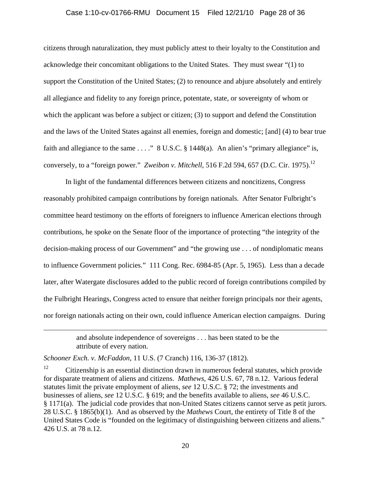#### Case 1:10-cv-01766-RMU Document 15 Filed 12/21/10 Page 28 of 36

citizens through naturalization, they must publicly attest to their loyalty to the Constitution and acknowledge their concomitant obligations to the United States. They must swear "(1) to support the Constitution of the United States; (2) to renounce and abjure absolutely and entirely all allegiance and fidelity to any foreign prince, potentate, state, or sovereignty of whom or which the applicant was before a subject or citizen; (3) to support and defend the Constitution and the laws of the United States against all enemies, foreign and domestic; [and] (4) to bear true faith and allegiance to the same . . . ." 8 U.S.C. § 1448(a). An alien's "primary allegiance" is, conversely, to a "foreign power." *Zweibon v. Mitchell*, 516 F.2d 594, 657 (D.C. Cir. 1975).<sup>12</sup>

In light of the fundamental differences between citizens and noncitizens, Congress reasonably prohibited campaign contributions by foreign nationals. After Senator Fulbright's committee heard testimony on the efforts of foreigners to influence American elections through contributions, he spoke on the Senate floor of the importance of protecting "the integrity of the decision-making process of our Government" and "the growing use . . . of nondiplomatic means to influence Government policies." 111 Cong. Rec. 6984-85 (Apr. 5, 1965). Less than a decade later, after Watergate disclosures added to the public record of foreign contributions compiled by the Fulbright Hearings, Congress acted to ensure that neither foreign principals nor their agents, nor foreign nationals acting on their own, could influence American election campaigns. During

> and absolute independence of sovereigns . . . has been stated to be the attribute of every nation.

*Schooner Exch. v. McFaddon*, 11 U.S. (7 Cranch) 116, 136-37 (1812).

<u>.</u>

 $12$  Citizenship is an essential distinction drawn in numerous federal statutes, which provide for disparate treatment of aliens and citizens. *Mathews*, 426 U.S. 67, 78 n.12. Various federal statutes limit the private employment of aliens, *see* 12 U.S.C. § 72; the investments and businesses of aliens, *see* 12 U.S.C. § 619; and the benefits available to aliens, *see* 46 U.S.C. § 1171(a). The judicial code provides that non-United States citizens cannot serve as petit jurors. 28 U.S.C. § 1865(b)(1). And as observed by the *Mathews* Court, the entirety of Title 8 of the United States Code is "founded on the legitimacy of distinguishing between citizens and aliens." 426 U.S. at 78 n.12.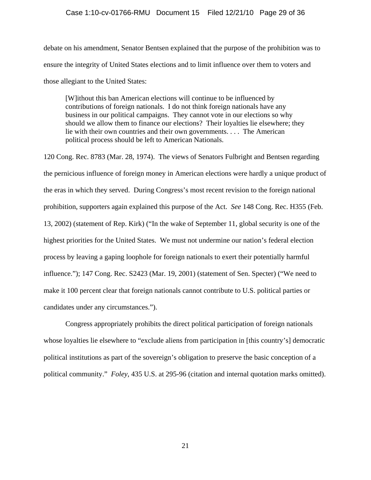### Case 1:10-cv-01766-RMU Document 15 Filed 12/21/10 Page 29 of 36

debate on his amendment, Senator Bentsen explained that the purpose of the prohibition was to ensure the integrity of United States elections and to limit influence over them to voters and those allegiant to the United States:

[W]ithout this ban American elections will continue to be influenced by contributions of foreign nationals. I do not think foreign nationals have any business in our political campaigns. They cannot vote in our elections so why should we allow them to finance our elections? Their loyalties lie elsewhere; they lie with their own countries and their own governments. . . . The American political process should be left to American Nationals.

120 Cong. Rec. 8783 (Mar. 28, 1974). The views of Senators Fulbright and Bentsen regarding the pernicious influence of foreign money in American elections were hardly a unique product of the eras in which they served. During Congress's most recent revision to the foreign national prohibition, supporters again explained this purpose of the Act. *See* 148 Cong. Rec. H355 (Feb. 13, 2002) (statement of Rep. Kirk) ("In the wake of September 11, global security is one of the highest priorities for the United States. We must not undermine our nation's federal election process by leaving a gaping loophole for foreign nationals to exert their potentially harmful influence."); 147 Cong. Rec. S2423 (Mar. 19, 2001) (statement of Sen. Specter) ("We need to make it 100 percent clear that foreign nationals cannot contribute to U.S. political parties or candidates under any circumstances.").

Congress appropriately prohibits the direct political participation of foreign nationals whose loyalties lie elsewhere to "exclude aliens from participation in [this country's] democratic political institutions as part of the sovereign's obligation to preserve the basic conception of a political community." *Foley*, 435 U.S. at 295-96 (citation and internal quotation marks omitted).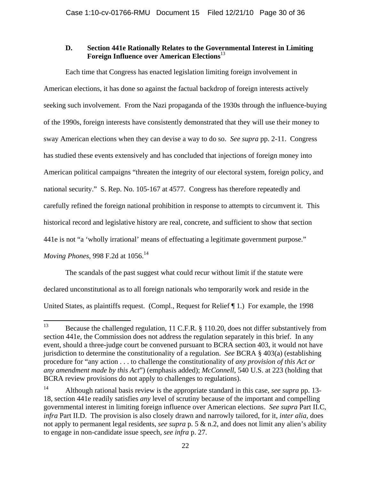# **D. Section 441e Rationally Relates to the Governmental Interest in Limiting Foreign Influence over American Elections**<sup>13</sup>

Each time that Congress has enacted legislation limiting foreign involvement in American elections, it has done so against the factual backdrop of foreign interests actively seeking such involvement. From the Nazi propaganda of the 1930s through the influence-buying of the 1990s, foreign interests have consistently demonstrated that they will use their money to sway American elections when they can devise a way to do so. *See supra* pp. 2-11. Congress has studied these events extensively and has concluded that injections of foreign money into American political campaigns "threaten the integrity of our electoral system, foreign policy, and national security." S. Rep. No. 105-167 at 4577. Congress has therefore repeatedly and carefully refined the foreign national prohibition in response to attempts to circumvent it. This historical record and legislative history are real, concrete, and sufficient to show that section 441e is not "a 'wholly irrational' means of effectuating a legitimate government purpose." *Moving Phones, 998 F.2d at 1056.*<sup>14</sup>

The scandals of the past suggest what could recur without limit if the statute were declared unconstitutional as to all foreign nationals who temporarily work and reside in the United States, as plaintiffs request. (Compl., Request for Relief ¶ 1.) For example, the 1998

<sup>13</sup> 13 Because the challenged regulation, 11 C.F.R. § 110.20, does not differ substantively from section 441e, the Commission does not address the regulation separately in this brief. In any event, should a three-judge court be convened pursuant to BCRA section 403, it would not have jurisdiction to determine the constitutionality of a regulation. *See* BCRA § 403(a) (establishing procedure for "any action . . . to challenge the constitutionality of *any provision of this Act or any amendment made by this Act*") (emphasis added); *McConnell*, 540 U.S. at 223 (holding that BCRA review provisions do not apply to challenges to regulations).

<sup>14</sup> Although rational basis review is the appropriate standard in this case, *see supra* pp. 13- 18, section 441e readily satisfies *any* level of scrutiny because of the important and compelling governmental interest in limiting foreign influence over American elections. *See supra* Part II.C, *infra* Part II.D. The provision is also closely drawn and narrowly tailored, for it, *inter alia*, does not apply to permanent legal residents, *see supra* p. 5 & n.2, and does not limit any alien's ability to engage in non-candidate issue speech, *see infra* p. 27.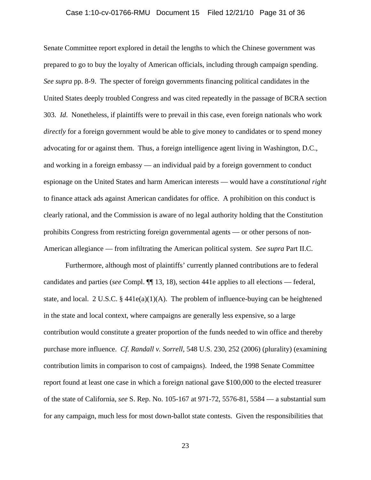#### Case 1:10-cv-01766-RMU Document 15 Filed 12/21/10 Page 31 of 36

Senate Committee report explored in detail the lengths to which the Chinese government was prepared to go to buy the loyalty of American officials, including through campaign spending. *See supra* pp. 8-9. The specter of foreign governments financing political candidates in the United States deeply troubled Congress and was cited repeatedly in the passage of BCRA section 303. *Id*. Nonetheless, if plaintiffs were to prevail in this case, even foreign nationals who work *directly* for a foreign government would be able to give money to candidates or to spend money advocating for or against them. Thus, a foreign intelligence agent living in Washington, D.C., and working in a foreign embassy — an individual paid by a foreign government to conduct espionage on the United States and harm American interests — would have a *constitutional right* to finance attack ads against American candidates for office. A prohibition on this conduct is clearly rational, and the Commission is aware of no legal authority holding that the Constitution prohibits Congress from restricting foreign governmental agents — or other persons of non-American allegiance — from infiltrating the American political system. *See supra* Part II.C.

Furthermore, although most of plaintiffs' currently planned contributions are to federal candidates and parties (*see* Compl. ¶¶ 13, 18), section 441e applies to all elections — federal, state, and local. 2 U.S.C. §  $441e(a)(1)(A)$ . The problem of influence-buying can be heightened in the state and local context, where campaigns are generally less expensive, so a large contribution would constitute a greater proportion of the funds needed to win office and thereby purchase more influence. *Cf*. *Randall v. Sorrell*, 548 U.S. 230, 252 (2006) (plurality) (examining contribution limits in comparison to cost of campaigns). Indeed, the 1998 Senate Committee report found at least one case in which a foreign national gave \$100,000 to the elected treasurer of the state of California, *see* S. Rep. No. 105-167 at 971-72, 5576-81, 5584 — a substantial sum for any campaign, much less for most down-ballot state contests. Given the responsibilities that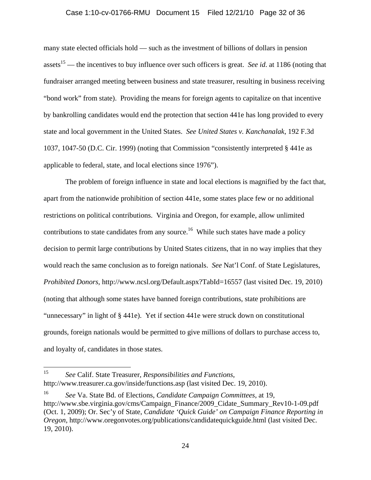#### Case 1:10-cv-01766-RMU Document 15 Filed 12/21/10 Page 32 of 36

many state elected officials hold — such as the investment of billions of dollars in pension assets<sup>15</sup> — the incentives to buy influence over such officers is great. *See id.* at 1186 (noting that fundraiser arranged meeting between business and state treasurer, resulting in business receiving "bond work" from state). Providing the means for foreign agents to capitalize on that incentive by bankrolling candidates would end the protection that section 441e has long provided to every state and local government in the United States. *See United States v. Kanchanalak*, 192 F.3d 1037, 1047-50 (D.C. Cir. 1999) (noting that Commission "consistently interpreted § 441e as applicable to federal, state, and local elections since 1976").

The problem of foreign influence in state and local elections is magnified by the fact that, apart from the nationwide prohibition of section 441e, some states place few or no additional restrictions on political contributions. Virginia and Oregon, for example, allow unlimited contributions to state candidates from any source.<sup>16</sup> While such states have made a policy decision to permit large contributions by United States citizens, that in no way implies that they would reach the same conclusion as to foreign nationals. *See* Nat'l Conf. of State Legislatures, *Prohibited Donors*, http://www.ncsl.org/Default.aspx?TabId=16557 (last visited Dec. 19, 2010) (noting that although some states have banned foreign contributions, state prohibitions are "unnecessary" in light of § 441e). Yet if section 441e were struck down on constitutional grounds, foreign nationals would be permitted to give millions of dollars to purchase access to, and loyalty of, candidates in those states.

<sup>15</sup> 15 *See* Calif. State Treasurer, *Responsibilities and Functions*, http://www.treasurer.ca.gov/inside/functions.asp (last visited Dec. 19, 2010).

<sup>16</sup> *See* Va. State Bd. of Elections, *Candidate Campaign Committees*, at 19, http://www.sbe.virginia.gov/cms/Campaign\_Finance/2009\_Cidate\_Summary\_Rev10-1-09.pdf (Oct. 1, 2009); Or. Sec'y of State, *Candidate 'Quick Guide' on Campaign Finance Reporting in Oregon*, http://www.oregonvotes.org/publications/candidatequickguide.html (last visited Dec. 19, 2010).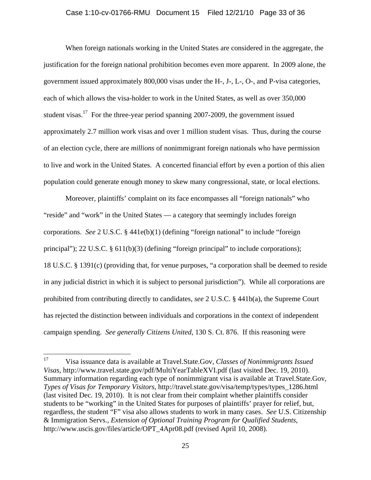#### Case 1:10-cv-01766-RMU Document 15 Filed 12/21/10 Page 33 of 36

When foreign nationals working in the United States are considered in the aggregate, the justification for the foreign national prohibition becomes even more apparent. In 2009 alone, the government issued approximately 800,000 visas under the H-, J-, L-, O-, and P-visa categories, each of which allows the visa-holder to work in the United States, as well as over 350,000 student visas.<sup>17</sup> For the three-year period spanning 2007-2009, the government issued approximately 2.7 million work visas and over 1 million student visas. Thus, during the course of an election cycle, there are *millions* of nonimmigrant foreign nationals who have permission to live and work in the United States. A concerted financial effort by even a portion of this alien population could generate enough money to skew many congressional, state, or local elections.

Moreover, plaintiffs' complaint on its face encompasses all "foreign nationals" who "reside" and "work" in the United States — a category that seemingly includes foreign corporations. *See* 2 U.S.C. § 441e(b)(1) (defining "foreign national" to include "foreign principal"); 22 U.S.C. § 611(b)(3) (defining "foreign principal" to include corporations); 18 U.S.C. § 1391(c) (providing that, for venue purposes, "a corporation shall be deemed to reside in any judicial district in which it is subject to personal jurisdiction"). While all corporations are prohibited from contributing directly to candidates, *see* 2 U.S.C. § 441b(a), the Supreme Court has rejected the distinction between individuals and corporations in the context of independent campaign spending. *See generally Citizens United*, 130 S. Ct. 876. If this reasoning were

<sup>17</sup> 17 Visa issuance data is available at Travel.State.Gov, *Classes of Nonimmigrants Issued Visas*, http://www.travel.state.gov/pdf/MultiYearTableXVI.pdf (last visited Dec. 19, 2010). Summary information regarding each type of nonimmigrant visa is available at Travel.State.Gov, *Types of Visas for Temporary Visitors*, http://travel.state.gov/visa/temp/types/types\_1286.html (last visited Dec. 19, 2010). It is not clear from their complaint whether plaintiffs consider students to be "working" in the United States for purposes of plaintiffs' prayer for relief, but, regardless, the student "F" visa also allows students to work in many cases. *See* U.S. Citizenship & Immigration Servs., *Extension of Optional Training Program for Qualified Students*, http://www.uscis.gov/files/article/OPT\_4Apr08.pdf (revised April 10, 2008).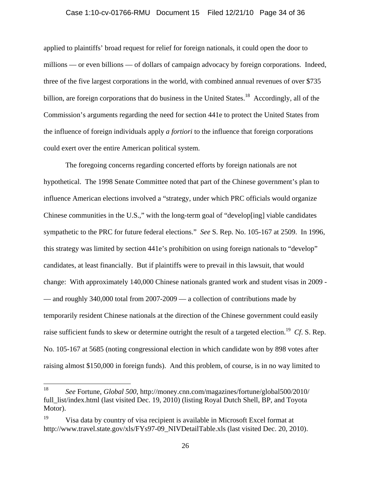#### Case 1:10-cv-01766-RMU Document 15 Filed 12/21/10 Page 34 of 36

applied to plaintiffs' broad request for relief for foreign nationals, it could open the door to millions — or even billions — of dollars of campaign advocacy by foreign corporations. Indeed, three of the five largest corporations in the world, with combined annual revenues of over \$735 billion, are foreign corporations that do business in the United States.<sup>18</sup> Accordingly, all of the Commission's arguments regarding the need for section 441e to protect the United States from the influence of foreign individuals apply *a fortiori* to the influence that foreign corporations could exert over the entire American political system.

The foregoing concerns regarding concerted efforts by foreign nationals are not hypothetical. The 1998 Senate Committee noted that part of the Chinese government's plan to influence American elections involved a "strategy, under which PRC officials would organize Chinese communities in the U.S.," with the long-term goal of "develop[ing] viable candidates sympathetic to the PRC for future federal elections." *See* S. Rep. No. 105-167 at 2509. In 1996, this strategy was limited by section 441e's prohibition on using foreign nationals to "develop" candidates, at least financially. But if plaintiffs were to prevail in this lawsuit, that would change: With approximately 140,000 Chinese nationals granted work and student visas in 2009 - — and roughly 340,000 total from 2007-2009 — a collection of contributions made by temporarily resident Chinese nationals at the direction of the Chinese government could easily raise sufficient funds to skew or determine outright the result of a targeted election.19 *Cf*. S. Rep. No. 105-167 at 5685 (noting congressional election in which candidate won by 898 votes after raising almost \$150,000 in foreign funds). And this problem, of course, is in no way limited to

<sup>18</sup> 18 *See* Fortune, *Global 500*, http://money.cnn.com/magazines/fortune/global500/2010/ full\_list/index.html (last visited Dec. 19, 2010) (listing Royal Dutch Shell, BP, and Toyota Motor).

<sup>&</sup>lt;sup>19</sup> Visa data by country of visa recipient is available in Microsoft Excel format at http://www.travel.state.gov/xls/FYs97-09\_NIVDetailTable.xls (last visited Dec. 20, 2010).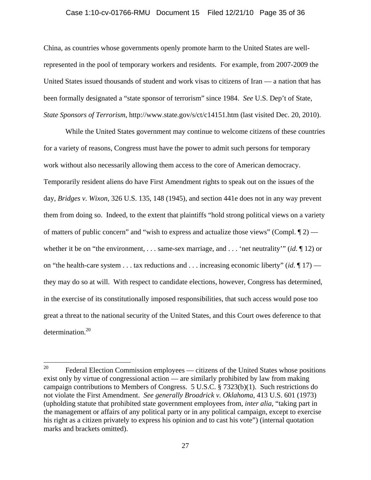#### Case 1:10-cv-01766-RMU Document 15 Filed 12/21/10 Page 35 of 36

China, as countries whose governments openly promote harm to the United States are wellrepresented in the pool of temporary workers and residents. For example, from 2007-2009 the United States issued thousands of student and work visas to citizens of Iran — a nation that has been formally designated a "state sponsor of terrorism" since 1984. *See* U.S. Dep't of State, *State Sponsors of Terrorism*, http://www.state.gov/s/ct/c14151.htm (last visited Dec. 20, 2010).

While the United States government may continue to welcome citizens of these countries for a variety of reasons, Congress must have the power to admit such persons for temporary work without also necessarily allowing them access to the core of American democracy. Temporarily resident aliens do have First Amendment rights to speak out on the issues of the day, *Bridges v. Wixon*, 326 U.S. 135, 148 (1945), and section 441e does not in any way prevent them from doing so. Indeed, to the extent that plaintiffs "hold strong political views on a variety of matters of public concern" and "wish to express and actualize those views" (Compl.  $\P$ 2) whether it be on "the environment, . . . same-sex marriage, and . . . 'net neutrality'" (*id*. ¶ 12) or on "the health-care system . . . tax reductions and . . . increasing economic liberty" (*id*. ¶ 17) they may do so at will. With respect to candidate elections, however, Congress has determined, in the exercise of its constitutionally imposed responsibilities, that such access would pose too great a threat to the national security of the United States, and this Court owes deference to that determination.20

<sup>20</sup> Federal Election Commission employees — citizens of the United States whose positions exist only by virtue of congressional action — are similarly prohibited by law from making campaign contributions to Members of Congress. 5 U.S.C. § 7323(b)(1). Such restrictions do not violate the First Amendment. *See generally Broadrick v. Oklahoma*, 413 U.S. 601 (1973) (upholding statute that prohibited state government employees from, *inter alia*, "taking part in the management or affairs of any political party or in any political campaign, except to exercise his right as a citizen privately to express his opinion and to cast his vote") (internal quotation marks and brackets omitted).